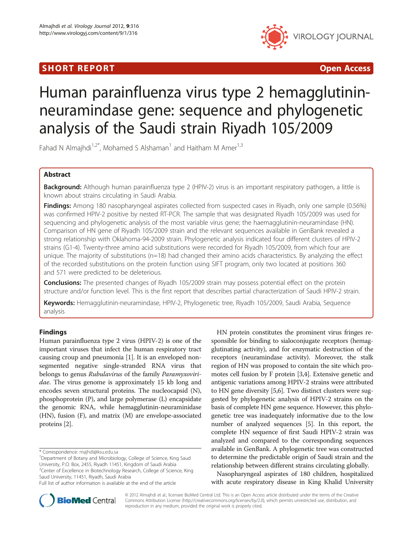## SHORT REPORT **The Contract of the Contract Open Access** (SHORT **Contract of the Contract Open Access**



# Human parainfluenza virus type 2 hemagglutininneuramindase gene: sequence and phylogenetic analysis of the Saudi strain Riyadh 105/2009

Fahad N Almajhdi<sup>1,2\*</sup>, Mohamed S Alshaman<sup>1</sup> and Haitham M Amer<sup>1,3</sup>

## Abstract

Background: Although human parainfluenza type 2 (HPIV-2) virus is an important respiratory pathogen, a little is known about strains circulating in Saudi Arabia.

Findings: Among 180 nasopharyngeal aspirates collected from suspected cases in Riyadh, only one sample (0.56%) was confirmed HPIV-2 positive by nested RT-PCR. The sample that was designated Riyadh 105/2009 was used for sequencing and phylogenetic analysis of the most variable virus gene; the haemagglutinin-neuramindase (HN). Comparison of HN gene of Riyadh 105/2009 strain and the relevant sequences available in GenBank revealed a strong relationship with Oklahoma-94-2009 strain. Phylogenetic analysis indicated four different clusters of HPIV-2 strains (G1-4). Twenty-three amino acid substitutions were recorded for Riyadh 105/2009, from which four are unique. The majority of substitutions (n=18) had changed their amino acids characteristics. By analyzing the effect of the recorded substitutions on the protein function using SIFT program, only two located at positions 360 and 571 were predicted to be deleterious.

**Conclusions:** The presented changes of Riyadh 105/2009 strain may possess potential effect on the protein structure and/or function level. This is the first report that describes partial characterization of Saudi HPIV-2 strain.

Keywords: Hemagglutinin-neuramindase, HPIV-2, Phylogenetic tree, Riyadh 105/2009, Saudi Arabia, Sequence analysis

## Findings

Human parainfluenza type 2 virus (HPIV-2) is one of the important viruses that infect the human respiratory tract causing croup and pneumonia [\[1](#page-3-0)]. It is an enveloped nonsegmented negative single-stranded RNA virus that belongs to genus Rubulavirus of the family Paramyxoviridae. The virus genome is approximately 15 kb long and encodes seven structural proteins. The nucleocapsid (N), phosphoprotein (P), and large polymerase (L) encapsidate the genomic RNA, while hemagglutinin-neuraminidase (HN), fusion (F), and matrix (M) are envelope-associated proteins [\[2\]](#page-3-0).

HN protein constitutes the prominent virus fringes responsible for binding to sialoconjugate receptors (hemagglutinating activity), and for enzymatic destruction of the receptors (neuramindase activity). Moreover, the stalk region of HN was proposed to contain the site which promotes cell fusion by F protein [[3](#page-3-0),[4](#page-4-0)]. Extensive genetic and antigenic variations among HPIV-2 strains were attributed to HN gene diversity [[5,6](#page-4-0)]. Two distinct clusters were suggested by phylogenetic analysis of HPIV-2 strains on the basis of complete HN gene sequence. However, this phylogenetic tree was inadequately informative due to the low number of analyzed sequences [\[5\]](#page-4-0). In this report, the complete HN sequence of first Saudi HPIV-2 strain was analyzed and compared to the corresponding sequences available in GenBank. A phylogenetic tree was constructed to determine the predictable origin of Saudi strain and the relationship between different strains circulating globally.

Nasopharyngeal aspirates of 180 children, hospitalized with acute respiratory disease in King Khalid University



© 2012 Almajhdi et al.; licensee BioMed Central Ltd. This is an Open Access article distributed under the terms of the Creative Commons Attribution License [\(http://creativecommons.org/licenses/by/2.0\)](http://creativecommons.org/licenses/by/2.0), which permits unrestricted use, distribution, and reproduction in any medium, provided the original work is properly cited.

<sup>\*</sup> Correspondence: [majhdi@ksu.edu.sa](mailto:majhdi@ksu.edu.sa) <sup>1</sup>

<sup>&</sup>lt;sup>1</sup>Department of Botany and Microbiology, College of Science, King Saud University, P.O. Box, 2455, Riyadh 11451, Kingdom of Saudi Arabia <sup>2</sup>Center of Excellence in Biotechnology Research, College of Science, King Saud University, 11451, Riyadh, Saudi Arabia

Full list of author information is available at the end of the article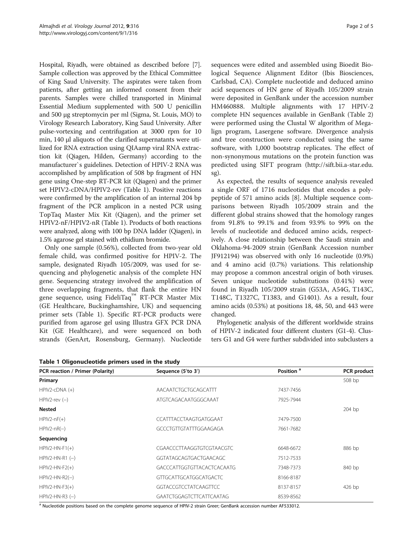Hospital, Riyadh, were obtained as described before [[7](#page-4-0)]. Sample collection was approved by the Ethical Committee of King Saud University. The aspirates were taken from patients, after getting an informed consent from their parents. Samples were chilled transported in Minimal Essential Medium supplemented with 500 U penicillin and 500 μg streptomycin per ml (Sigma, St. Louis, MO) to Virology Research Laboratory, King Saud University. After pulse-vortexing and centrifugation at 3000 rpm for 10 min, 140 μl aliquots of the clarified supernatants were utilized for RNA extraction using QIAamp viral RNA extraction kit (Qiagen, Hilden, Germany) according to the manufacturer`s guidelines. Detection of HPIV-2 RNA was accomplished by amplification of 508 bp fragment of HN gene using One-step RT-PCR kit (Qiagen) and the primer set HPIV2-cDNA/HPIV2-rev (Table 1). Positive reactions were confirmed by the amplification of an internal 204 bp fragment of the PCR amplicon in a nested PCR using TopTaq Master Mix Kit (Qiagen), and the primer set HPIV2-nF/HPIV2-nR (Table 1). Products of both reactions were analyzed, along with 100 bp DNA ladder (Qiagen), in 1.5% agarose gel stained with ethidium bromide.

Only one sample (0.56%), collected from two-year old female child, was confirmed positive for HPIV-2. The sample, designated Riyadh 105/2009, was used for sequencing and phylogenetic analysis of the complete HN gene. Sequencing strategy involved the amplification of three overlapping fragments, that flank the entire HN gene sequence, using FideliTaq™ RT-PCR Master Mix (GE Healthcare, Buckinghamshire, UK) and sequencing primer sets (Table 1). Specific RT-PCR products were purified from agarose gel using Illustra GFX PCR DNA Kit (GE Healthcare), and were sequenced on both strands (GenArt, Rosensburg, Germany). Nucleotide

Table 1 Oligonucleotide primers used in the study

sequences were edited and assembled using Bioedit Biological Sequence Alignment Editor (Ibis Biosciences, Carlsbad, CA). Complete nucleotide and deduced amino acid sequences of HN gene of Riyadh 105/2009 strain were deposited in GenBank under the accession number HM460888. Multiple alignments with 17 HPIV-2 complete HN sequences available in GenBank (Table [2](#page-2-0)) were performed using the Clustal W algorithm of Megalign program, Lasergene software. Divergence analysis and tree construction were conducted using the same software, with 1,000 bootstrap replicates. The effect of non-synonymous mutations on the protein function was predicted using SIFT program [\(http://sift.bii.a-star.edu.](http://sift.bii.a-star.edu.sg) [sg](http://sift.bii.a-star.edu.sg)).

As expected, the results of sequence analysis revealed a single ORF of 1716 nucleotides that encodes a polypeptide of 571 amino acids [\[8](#page-4-0)]. Multiple sequence comparisons between Riyadh 105/2009 strain and the different global strains showed that the homology ranges from 91.8% to 99.1% and from 93.9% to 99% on the levels of nucleotide and deduced amino acids, respectively. A close relationship between the Saudi strain and Oklahoma-94-2009 strain (GenBank Accession number JF912194) was observed with only 16 nucleotide (0.9%) and 4 amino acid (0.7%) variations. This relationship may propose a common ancestral origin of both viruses. Seven unique nucleotide substitutions (0.41%) were found in Riyadh 105/2009 strain (G53A, A54G, T143C, T148C, T1327C, T1383, and G1401). As a result, four amino acids (0.53%) at positions 18, 48, 50, and 443 were changed.

Phylogenetic analysis of the different worldwide strains of HPIV-2 indicated four different clusters (G1-4). Clusters G1 and G4 were further subdivided into subclusters a

| PCR reaction / Primer (Polarity) | Sequence (5'to 3')                | Position <sup>a</sup> | <b>PCR</b> product |  |  |
|----------------------------------|-----------------------------------|-----------------------|--------------------|--|--|
| Primary                          |                                   |                       | 508 bp             |  |  |
| $HPIV2$ -c $DNA (+)$             | AACAATCTGCTGCAGCATTT              | 7437-7456             |                    |  |  |
| $HPIV2$ -rev $(-)$               | ATGTCAGACAATGGGCAAAT              | 7925-7944             |                    |  |  |
| <b>Nested</b>                    |                                   |                       | $204$ bp           |  |  |
| $HPIV2-nF(+)$                    | CCATTTACCTAAGTGATGGAAT            | 7479-7500             |                    |  |  |
| $HPIV2-nR(-)$                    | GCCCTGTTGTATTTGGAAGAGA            | 7661-7682             |                    |  |  |
| Sequencing                       |                                   |                       |                    |  |  |
| $HPIV2-HN-F1(+)$                 | CGAACCCTTAAGGTGTCGTAACGTC         | 6648-6672             | 886 bp             |  |  |
| $HPIV2-HN-R1$ $(-)$              | GGTATAGCAGTGACTGAACAGC            | 7512-7533             |                    |  |  |
| $HPIV2-HN-F2(+)$                 | <b>GACCCATTGGTGTTACACTCACAATG</b> | 7348-7373             | 840 bp             |  |  |
| $HPIV2-HN-R2(-)$                 | GTTGCATTGCATGGCATGACTC            | 8166-8187             |                    |  |  |
| $HPIV2-HN-F3(+)$                 | <b>GGTACCGTCCTATCAAGTTCC</b>      | 8137-8157             | 426 bp             |  |  |
| $HPIV2-HN-R3 (-)$                | GAATCTGGAGTCTTCATTCAATAG          | 8539-8562             |                    |  |  |

<sup>a</sup> Nucleotide positions based on the complete genome sequence of HPIV-2 strain Greer; GenBank accession number AF533012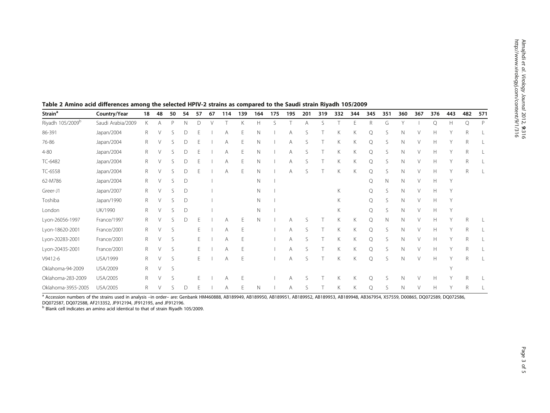| Strain <sup>a</sup>          | Country/Year      | 18 | 48     | 50 | 54           | 57 | 67 | 114 | 139 | 164          | 175 | 195 | 201 | 319 | 332 | 344 | 345     | 351          | 360 | 367    | 376 | 443    | 482 | 571 |
|------------------------------|-------------------|----|--------|----|--------------|----|----|-----|-----|--------------|-----|-----|-----|-----|-----|-----|---------|--------------|-----|--------|-----|--------|-----|-----|
| Riyadh 105/2009 <sup>b</sup> | Saudi Arabia/2009 | K  | A      | P  | Ν            | D  |    |     | K   | H.           | S   |     | Α   | S   |     | F   | R       | G            |     |        | Q   | H      | Q   | P   |
| 86-391                       | Japan/2004        | R  |        |    | D            |    |    |     |     | Ν            |     | Α   |     |     |     | Κ   | Q       | S            | N   |        | H   |        | R   |     |
| 76-86                        | Japan/2004        | R  |        |    | D            |    |    | Α   |     | N            |     | А   |     |     | К   | Κ   | Q       | S            | N   |        | Н   |        | R   |     |
| $4 - 80$                     | Japan/2004        | R  |        |    | D            |    |    |     |     | N            |     | Α   |     |     | К   | Κ   | Q       | S            | N   |        | Н   |        | R   |     |
| TC-6482                      | Japan/2004        | R  |        |    | D            |    |    |     |     | Ν            |     | А   |     |     | К   | Κ   | Q       | S            | N   |        | H   |        | R   |     |
| TC-6558                      | Japan/2004        | R  |        |    | D            |    |    | A   |     | $\mathbb N$  |     | A   |     |     | K   | K   | Q       | S            | N   |        | H   |        | R   |     |
| 62-M786                      | Japan/2004        | R  | V      |    | D            |    |    |     |     | N            |     |     |     |     |     |     | Q       | N            | N   | V      | Н   | Y      |     |     |
| Greer-J1                     | Japan/2007        | R  | $\vee$ |    | D            |    |    |     |     | $\mathsf{N}$ |     |     |     |     | K   |     | Q       | S            | N   | V      | H   | Y      |     |     |
| Toshiba                      | Japan/1990        | R  |        |    | $\mathsf{D}$ |    |    |     |     | $\mathsf{N}$ |     |     |     |     | K   |     | $\circ$ | <sup>S</sup> | N   | V      | H   | Y      |     |     |
| London                       | UK/1990           | R  |        | S  | D            |    |    |     |     | N            |     |     |     |     | K   |     | Q       | S            | N   |        | H   | Y      |     |     |
| Lyon-26056-1997              | France/1997       | R  |        |    | D            |    |    | А   |     | $\mathbb N$  |     |     |     |     | K   | Κ   | Q       | N            | N   |        | H   | Y      | R   |     |
| Lyon-18620-2001              | France/2001       | R  | V      | S  |              |    |    | Α   | E   |              |     | Α   |     |     | K   | Κ   | Q       | S            | N   |        | H   | Y      | R   |     |
| Lyon-20283-2001              | France/2001       | R  | V      | S  |              | F  |    | А   |     |              |     | A   |     |     | К   | Κ   | Q       | S            | N   |        | Н   |        | R   |     |
| Lyon-20435-2001              | France/2001       | R  | V      | S  |              | Ε  |    | A   |     |              |     | Α   | S   |     | К   | K   | Q       | S            | N   | V      | Н   | Y      | R   |     |
| V9412-6                      | USA/1999          | R  | V      | S  |              | E  |    | A   | F   |              |     | Α   | ς   | T   | K   | Κ   | О       | S            | N   | $\vee$ | Н   |        | R   |     |
| Oklahoma-94-2009             | USA/2009          | R  | $\vee$ | S  |              |    |    |     |     |              |     |     |     |     |     |     |         |              |     |        |     | $\vee$ |     |     |
| Oklahoma-283-2009            | USA/2005          | R  | V      | S  |              | F  |    | A   |     |              |     | A   | S   |     | K   | Κ   | Q       | -S           | N   | V      | Н   |        | R   |     |
| Oklahoma-3955-2005           | USA/2005          | R  | V      | S  | D            | F  |    | A   | F   | $\mathbb N$  |     | Α   | S   |     | Κ   | Κ   | Q       | S            | N   | V      | H   | Y      | R   |     |

<span id="page-2-0"></span>

|  | Table 2 Amino acid differences among the selected HPIV-2 strains as compared to the Saudi strain Riyadh 105/2009 |  |  |
|--|------------------------------------------------------------------------------------------------------------------|--|--|
|  |                                                                                                                  |  |  |

a Accession numbers of the strains used in analysis –in order– are: Genbank HM460888, AB189949, AB189951, AB189952, AB189953, AB189948, AB367954, X57559, D00865, DQ072586, DQ072586,

DQ072587, DQ072588, AF213352, JF912194, JF912195, and JF912196.

<sup>b</sup> Blank cell indicates an amino acid identical to that of strain Riyadh 105/2009.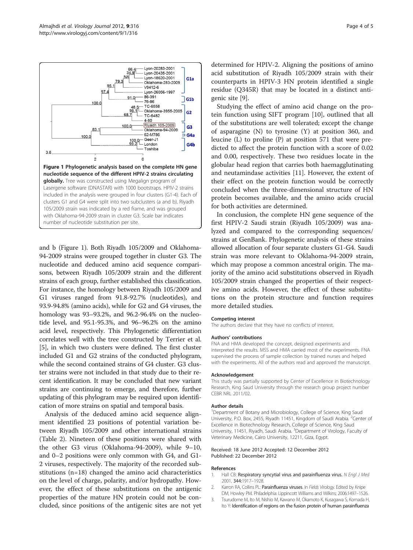<span id="page-3-0"></span>

and b (Figure 1). Both Riyadh 105/2009 and Oklahoma-94-2009 strains were grouped together in cluster G3. The nucleotide and deduced amino acid sequence comparisons, between Riyadh 105/2009 strain and the different strains of each group, further established this classification. For instance, the homology between Riyadh 105/2009 and G1 viruses ranged from 91.8-92.7% (nucleotides), and 93.9-94.8% (amino acids), while for G2 and G4 viruses, the homology was 93–93.2%, and 96.2-96.4% on the nucleotide level, and 95.1-95.3%, and 96–96.2% on the amino acid level, respectively. This Phylogenetic differentiation correlates well with the tree constructed by Terrier et al. [[5\]](#page-4-0), in which two clusters were defined. The first cluster included G1 and G2 strains of the conducted phylogram, while the second contained strains of G4 cluster. G3 cluster strains were not included in that study due to their recent identification. It may be concluded that new variant strains are continuing to emerge, and therefore, further updating of this phylogram may be required upon identification of more strains on spatial and temporal basis.

Analysis of the deduced amino acid sequence alignment identified 23 positions of potential variation between Riyadh 105/2009 and other international strains (Table [2\)](#page-2-0). Nineteen of these positions were shared with the other G3 virus (Oklahoma-94-2009), while 9–10, and 0–2 positions were only common with G4, and G1- 2 viruses, respectively. The majority of the recorded substitutions (n=18) changed the amino acid characteristics on the level of charge, polarity, and/or hydropathy. However, the effect of these substitutions on the antigenic properties of the mature HN protein could not be concluded, since positions of the antigenic sites are not yet determined for HPIV-2. Aligning the positions of amino acid substitution of Riyadh 105/2009 strain with their counterparts in HPIV-3 HN protein identified a single residue (Q345R) that may be located in a distinct antigenic site [\[9](#page-4-0)].

Studying the effect of amino acid change on the protein function using SIFT program [\[10\]](#page-4-0), outlined that all of the substitutions are well tolerated; except the change of asparagine (N) to tyrosine (Y) at position 360, and leucine (L) to proline (P) at position 571 that were predicted to affect the protein function with a score of 0.02 and 0.00, respectively. These two residues locate in the globular head region that carries both haemagglutinating and neutamindase activities [\[11](#page-4-0)]. However, the extent of their effect on the protein function would be correctly concluded when the three-dimensional structure of HN protein becomes available, and the amino acids crucial for both activities are determined.

In conclusion, the complete HN gene sequence of the first HPIV-2 Saudi strain (Riyadh 105/2009) was analyzed and compared to the corresponding sequences/ strains at GenBank. Phylogenetic analysis of these strains allowed allocation of four separate clusters G1-G4. Saudi strain was more relevant to Oklahoma-94-2009 strain, which may propose a common ancestral origin. The majority of the amino acid substitutions observed in Riyadh 105/2009 strain changed the properties of their respective amino acids. However, the effect of these substitutions on the protein structure and function requires more detailed studies.

#### Competing interest

The authors declare that they have no conflicts of interest.

#### Authors' contributions

FNA and HMA developed the concept, designed experiments and interpreted the results. MSS and HMA carried most of the experiments. FNA supervised the process of sample collection by trained nurses and helped with the experiments. All of the authors read and approved the manuscript.

#### Acknowledgement

This study was partially supported by Center of Excellence in Biotechnology Research, King Saud University through the research group project number CEBR NRL 2011/02.

#### Author details

<sup>1</sup>Department of Botany and Microbiology, College of Science, King Saud University, P.O. Box, 2455, Riyadh 11451, Kingdom of Saudi Arabia. <sup>2</sup>Center of Excellence in Biotechnology Research, College of Science, King Saud University, 11451, Riyadh, Saudi Arabia. <sup>3</sup>Department of Virology, Faculty of Veterinary Medicine, Cairo University, 12211, Giza, Egypt.

#### Received: 18 June 2012 Accepted: 12 December 2012 Published: 22 December 2012

#### References

- 1. Hall CB: Respiratory syncytial virus and parainfluenza virus. N Engl J Med 2001, 344:1917–1928.
- 2. Karron RA, Collins PL: Parainfluenza viruses. In Fields Virology. Edited by Knipe DM, Howley PM. Philadelphia: Lippincott Williams and Wilkins; 2006:1497–1526.
- 3. Tsurudome M, Ito M, Nishio M, Kawano M, Okamoto K, Kusagawa S, Komada H, Ito Y: Identification of regions on the fusion protein of human parainfluenza